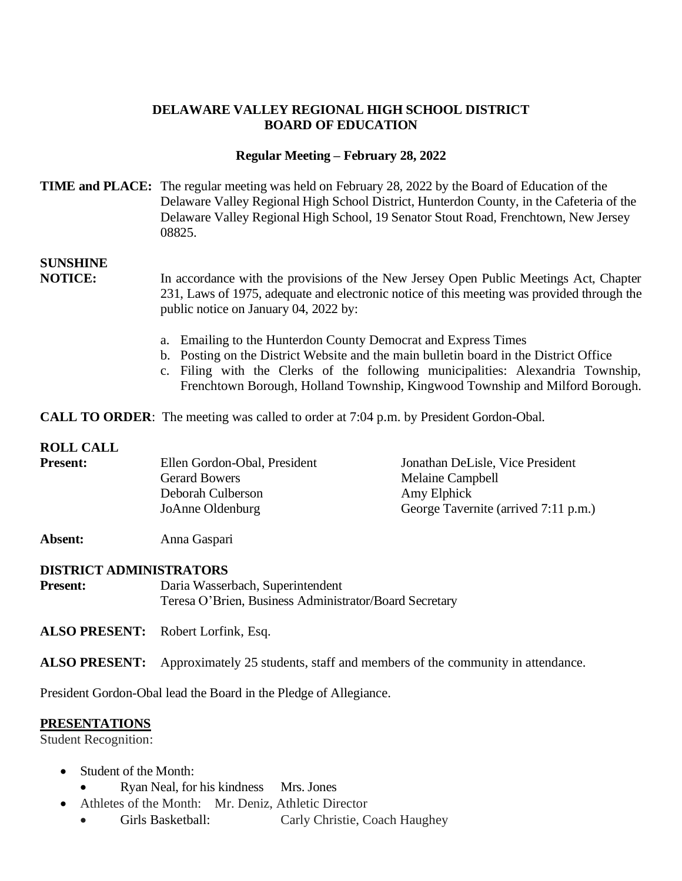#### **DELAWARE VALLEY REGIONAL HIGH SCHOOL DISTRICT BOARD OF EDUCATION**

#### **Regular Meeting – February 28, 2022**

#### **TIME and PLACE:** The regular meeting was held on February 28, 2022 by the Board of Education of the Delaware Valley Regional High School District, Hunterdon County, in the Cafeteria of the Delaware Valley Regional High School, 19 Senator Stout Road, Frenchtown, New Jersey 08825.

# **SUNSHINE**

**NOTICE:** In accordance with the provisions of the New Jersey Open Public Meetings Act, Chapter 231, Laws of 1975, adequate and electronic notice of this meeting was provided through the public notice on January 04, 2022 by:

- a. Emailing to the Hunterdon County Democrat and Express Times
- b. Posting on the District Website and the main bulletin board in the District Office
- c. Filing with the Clerks of the following municipalities: Alexandria Township, Frenchtown Borough, Holland Township, Kingwood Township and Milford Borough.

**CALL TO ORDER:** The meeting was called to order at 7:04 p.m. by President Gordon-Obal.

#### **ROLL CALL**

| Melaine Campbell                     |
|--------------------------------------|
| Amy Elphick                          |
| George Tavernite (arrived 7:11 p.m.) |
|                                      |

**Absent:** Anna Gaspari

#### **DISTRICT ADMINISTRATORS**

Present: Daria Wasserbach, Superintendent Teresa O'Brien, Business Administrator/Board Secretary

**ALSO PRESENT:** Robert Lorfink, Esq.

**ALSO PRESENT:** Approximately 25 students, staff and members of the community in attendance.

President Gordon-Obal lead the Board in the Pledge of Allegiance.

#### **PRESENTATIONS**

Student Recognition:

- Student of the Month:
	- Ryan Neal, for his kindness Mrs. Jones
- Athletes of the Month: Mr. Deniz, Athletic Director
	- Girls Basketball: Carly Christie, Coach Haughey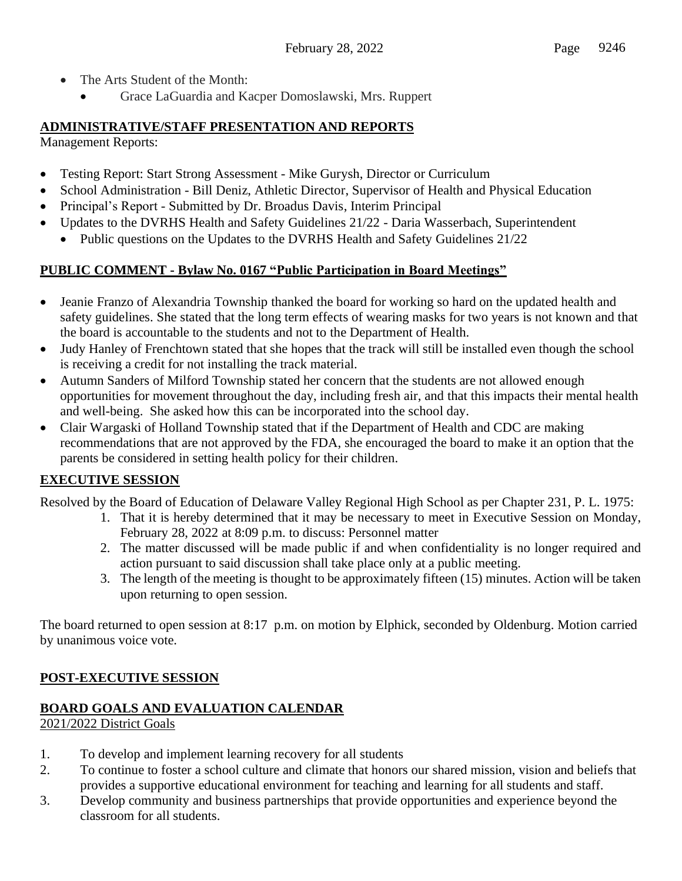- The Arts Student of the Month:
	- Grace LaGuardia and Kacper Domoslawski, Mrs. Ruppert

# **ADMINISTRATIVE/STAFF PRESENTATION AND REPORTS**

Management Reports:

- Testing Report: Start Strong Assessment Mike Gurysh, Director or Curriculum
- School Administration Bill Deniz, Athletic Director, Supervisor of Health and Physical Education
- Principal's Report Submitted by Dr. Broadus Davis, Interim Principal
- Updates to the DVRHS Health and Safety Guidelines 21/22 Daria Wasserbach, Superintendent
	- Public questions on the Updates to the DVRHS Health and Safety Guidelines 21/22

# **PUBLIC COMMENT - Bylaw No. 0167 "Public Participation in Board Meetings"**

- Jeanie Franzo of Alexandria Township thanked the board for working so hard on the updated health and safety guidelines. She stated that the long term effects of wearing masks for two years is not known and that the board is accountable to the students and not to the Department of Health.
- Judy Hanley of Frenchtown stated that she hopes that the track will still be installed even though the school is receiving a credit for not installing the track material.
- Autumn Sanders of Milford Township stated her concern that the students are not allowed enough opportunities for movement throughout the day, including fresh air, and that this impacts their mental health and well-being. She asked how this can be incorporated into the school day.
- Clair Wargaski of Holland Township stated that if the Department of Health and CDC are making recommendations that are not approved by the FDA, she encouraged the board to make it an option that the parents be considered in setting health policy for their children.

# **EXECUTIVE SESSION**

Resolved by the Board of Education of Delaware Valley Regional High School as per Chapter 231, P. L. 1975:

- 1. That it is hereby determined that it may be necessary to meet in Executive Session on Monday, February 28, 2022 at 8:09 p.m. to discuss: Personnel matter
- 2. The matter discussed will be made public if and when confidentiality is no longer required and action pursuant to said discussion shall take place only at a public meeting.
- 3. The length of the meeting is thought to be approximately fifteen (15) minutes. Action will be taken upon returning to open session.

The board returned to open session at 8:17 p.m. on motion by Elphick, seconded by Oldenburg. Motion carried by unanimous voice vote.

# **POST-EXECUTIVE SESSION**

# **BOARD GOALS AND EVALUATION CALENDAR**

2021/2022 District Goals

- 1. To develop and implement learning recovery for all students
- 2. To continue to foster a school culture and climate that honors our shared mission, vision and beliefs that provides a supportive educational environment for teaching and learning for all students and staff.
- 3. Develop community and business partnerships that provide opportunities and experience beyond the classroom for all students.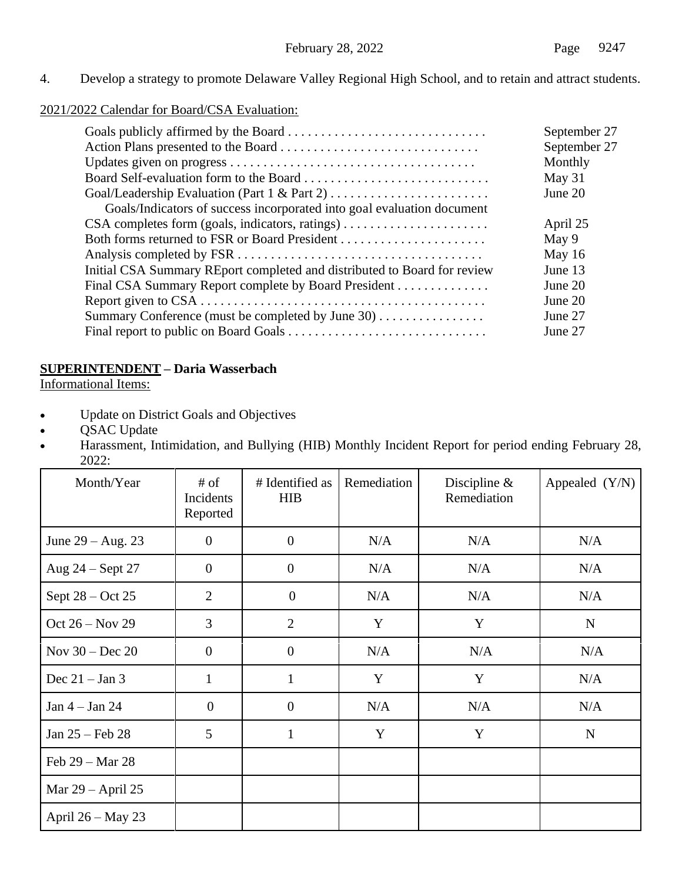4. Develop a strategy to promote Delaware Valley Regional High School, and to retain and attract students.

#### 2021/2022 Calendar for Board/CSA Evaluation:

|                                                                                                 | September 27 |
|-------------------------------------------------------------------------------------------------|--------------|
|                                                                                                 | September 27 |
|                                                                                                 | Monthly      |
|                                                                                                 | May 31       |
| Goal/Leadership Evaluation (Part $1 & Part\ 2) \dots \dots \dots \dots \dots \dots \dots \dots$ | June 20      |
| Goals/Indicators of success incorporated into goal evaluation document                          |              |
|                                                                                                 | April 25     |
|                                                                                                 | May 9        |
|                                                                                                 | May $16$     |
| Initial CSA Summary REport completed and distributed to Board for review                        | June 13      |
| Final CSA Summary Report complete by Board President                                            | June 20      |
|                                                                                                 | June 20      |
| Summary Conference (must be completed by June 30)                                               | June 27      |
|                                                                                                 | June 27      |
|                                                                                                 |              |

# **SUPERINTENDENT – Daria Wasserbach**

Informational Items:

- Update on District Goals and Objectives
- QSAC Update
- Harassment, Intimidation, and Bullying (HIB) Monthly Incident Report for period ending February 28, 2022:

| Month/Year           | # of<br>Incidents<br>Reported | # Identified as<br><b>HIB</b> | Remediation | Discipline $\&$<br>Remediation | Appealed $(Y/N)$ |
|----------------------|-------------------------------|-------------------------------|-------------|--------------------------------|------------------|
| June $29 - Aug. 23$  | $\overline{0}$                | $\boldsymbol{0}$              | N/A         | N/A                            | N/A              |
| Aug $24$ – Sept 27   | $\boldsymbol{0}$              | $\boldsymbol{0}$              | N/A         | N/A                            | N/A              |
| Sept $28 - Oct$ $25$ | $\overline{2}$                | $\mathbf{0}$                  | N/A         | N/A                            | N/A              |
| Oct $26 - Nov 29$    | 3                             | $\overline{2}$                | Y           | Y                              | $\mathbf N$      |
| Nov $30 - Dec 20$    | $\overline{0}$                | $\boldsymbol{0}$              | N/A         | N/A                            | N/A              |
| Dec $21 - Jan 3$     | $\mathbf{1}$                  | $\mathbf{1}$                  | Y           | Y                              | N/A              |
| Jan $4 -$ Jan $24$   | $\overline{0}$                | $\overline{0}$                | N/A         | N/A                            | N/A              |
| Jan 25 – Feb 28      | 5                             | $\mathbf{1}$                  | Y           | Y                              | $\mathbf N$      |
| Feb 29 - Mar 28      |                               |                               |             |                                |                  |
| Mar $29$ – April 25  |                               |                               |             |                                |                  |
| April $26 - May 23$  |                               |                               |             |                                |                  |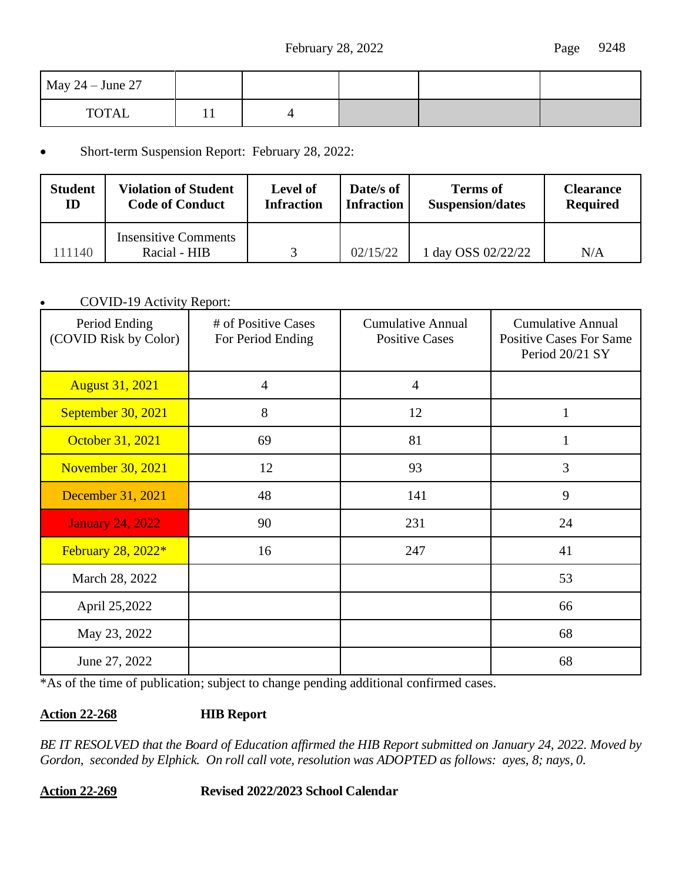| May $24$ – June 27 |     |  |  |
|--------------------|-----|--|--|
| <b>TOTAL</b>       | . . |  |  |

• Short-term Suspension Report: February 28, 2022:

| <b>Student</b> | <b>Violation of Student</b>                 | <b>Level of</b>   | Date/s of         | <b>Terms of</b>         | <b>Clearance</b> |
|----------------|---------------------------------------------|-------------------|-------------------|-------------------------|------------------|
| ID             | <b>Code of Conduct</b>                      | <b>Infraction</b> | <b>Infraction</b> | <b>Suspension/dates</b> | <b>Required</b>  |
| 11140          | <b>Insensitive Comments</b><br>Racial - HIB |                   | 02/15/22          | day OSS 02/22/22        | N/A              |

## • COVID-19 Activity Report:

| Period Ending<br>(COVID Risk by Color) | # of Positive Cases<br>For Period Ending | <b>Cumulative Annual</b><br><b>Positive Cases</b> | <b>Cumulative Annual</b><br><b>Positive Cases For Same</b><br>Period 20/21 SY |
|----------------------------------------|------------------------------------------|---------------------------------------------------|-------------------------------------------------------------------------------|
| <b>August 31, 2021</b>                 | $\overline{4}$                           | $\overline{4}$                                    |                                                                               |
| September 30, 2021                     | 8                                        | 12                                                | 1                                                                             |
| October 31, 2021                       | 69                                       | 81                                                | 1                                                                             |
| <b>November 30, 2021</b>               | 12                                       | 93                                                | 3                                                                             |
| December 31, 2021                      | 48                                       | 141                                               | 9                                                                             |
| <b>January 24, 2022</b>                | 90                                       | 231                                               | 24                                                                            |
| February 28, 2022*                     | 16                                       | 247                                               | 41                                                                            |
| March 28, 2022                         |                                          |                                                   | 53                                                                            |
| April 25,2022                          |                                          |                                                   | 66                                                                            |
| May 23, 2022                           |                                          |                                                   | 68                                                                            |
| June 27, 2022                          |                                          |                                                   | 68                                                                            |

\*As of the time of publication; subject to change pending additional confirmed cases.

#### **Action 22-268 HIB Report**

*BE IT RESOLVED that the Board of Education affirmed the HIB Report submitted on January 24, 2022. Moved by Gordon, seconded by Elphick. On roll call vote, resolution was ADOPTED as follows: ayes, 8; nays, 0.*

**Action 22-269 Revised 2022/2023 School Calendar**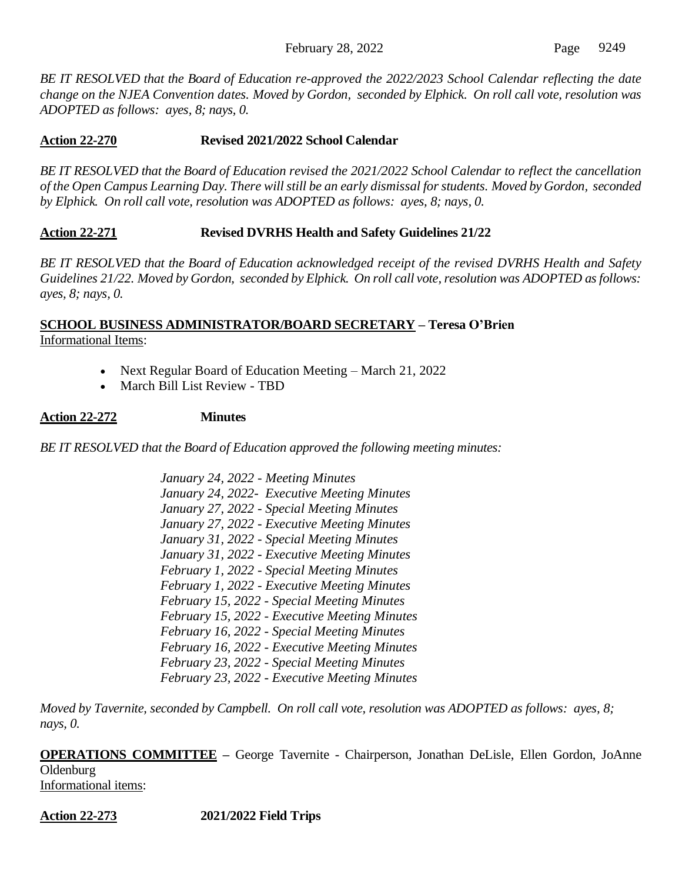*BE IT RESOLVED that the Board of Education re-approved the 2022/2023 School Calendar reflecting the date change on the NJEA Convention dates. Moved by Gordon, seconded by Elphick. On roll call vote, resolution was ADOPTED as follows: ayes, 8; nays, 0.*

### **Action 22-270 Revised 2021/2022 School Calendar**

*BE IT RESOLVED that the Board of Education revised the 2021/2022 School Calendar to reflect the cancellation of the Open Campus Learning Day. There will still be an early dismissal for students. Moved by Gordon, seconded by Elphick. On roll call vote, resolution was ADOPTED as follows: ayes, 8; nays, 0.*

### **Action 22-271 Revised DVRHS Health and Safety Guidelines 21/22**

*BE IT RESOLVED that the Board of Education acknowledged receipt of the revised DVRHS Health and Safety Guidelines 21/22. Moved by Gordon, seconded by Elphick. On roll call vote, resolution was ADOPTED as follows: ayes, 8; nays, 0.*

### **SCHOOL BUSINESS ADMINISTRATOR/BOARD SECRETARY – Teresa O'Brien** Informational Items:

- Next Regular Board of Education Meeting March 21, 2022
- March Bill List Review TBD

#### **Action 22-272 Minutes**

*BE IT RESOLVED that the Board of Education approved the following meeting minutes:*

| January 24, 2022 - Meeting Minutes            |
|-----------------------------------------------|
| January 24, 2022- Executive Meeting Minutes   |
| January 27, 2022 - Special Meeting Minutes    |
| January 27, 2022 - Executive Meeting Minutes  |
| January 31, 2022 - Special Meeting Minutes    |
| January 31, 2022 - Executive Meeting Minutes  |
| February 1, 2022 - Special Meeting Minutes    |
| February 1, 2022 - Executive Meeting Minutes  |
| February 15, 2022 - Special Meeting Minutes   |
| February 15, 2022 - Executive Meeting Minutes |
| February 16, 2022 - Special Meeting Minutes   |
| February 16, 2022 - Executive Meeting Minutes |
| February 23, 2022 - Special Meeting Minutes   |
| February 23, 2022 - Executive Meeting Minutes |

*Moved by Tavernite, seconded by Campbell. On roll call vote, resolution was ADOPTED as follows: ayes, 8; nays, 0.*

**OPERATIONS COMMITTEE –** George Tavernite - Chairperson, Jonathan DeLisle, Ellen Gordon, JoAnne Oldenburg Informational items:

**Action 22-273 2021/2022 Field Trips**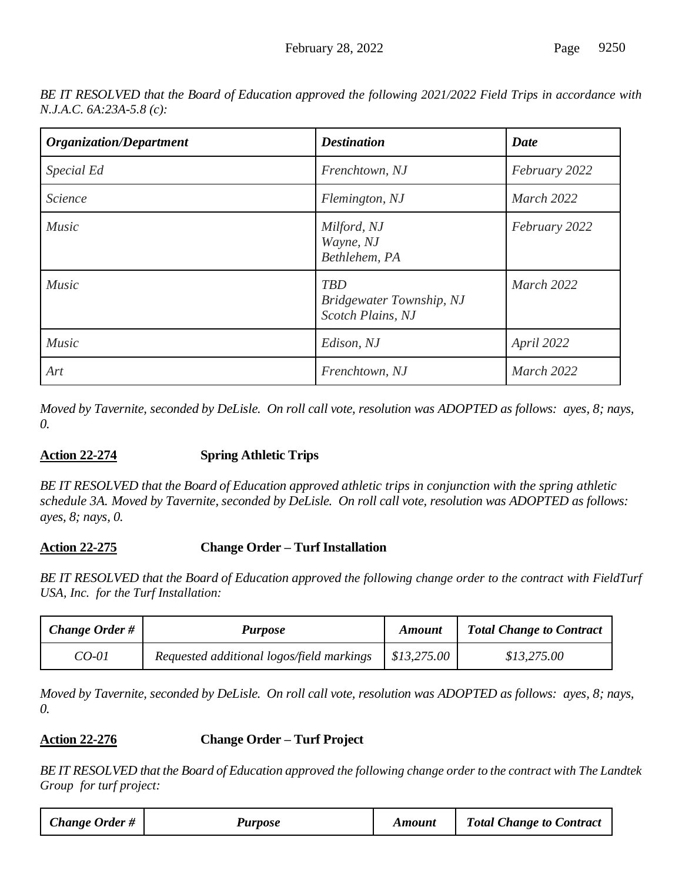| <b>Organization/Department</b> | <b>Destination</b>                                          | Date          |
|--------------------------------|-------------------------------------------------------------|---------------|
| Special Ed                     | Frenchtown, NJ                                              | February 2022 |
| Science                        | Flemington, NJ                                              | March 2022    |
| Music                          | Milford, NJ<br>Wayne, NJ<br>Bethlehem, PA                   | February 2022 |
| Music                          | <b>TBD</b><br>Bridgewater Township, NJ<br>Scotch Plains, NJ | March 2022    |
| Music                          | Edison, NJ                                                  | April 2022    |
| Art                            | Frenchtown, NJ                                              | March 2022    |

*BE IT RESOLVED that the Board of Education approved the following 2021/2022 Field Trips in accordance with N.J.A.C. 6A:23A-5.8 (c):*

*Moved by Tavernite, seconded by DeLisle. On roll call vote, resolution was ADOPTED as follows: ayes, 8; nays, 0.*

# **Action 22-274 Spring Athletic Trips**

*BE IT RESOLVED that the Board of Education approved athletic trips in conjunction with the spring athletic schedule 3A. Moved by Tavernite, seconded by DeLisle. On roll call vote, resolution was ADOPTED as follows: ayes, 8; nays, 0.*

# **Action 22-275 Change Order – Turf Installation**

*BE IT RESOLVED that the Board of Education approved the following change order to the contract with FieldTurf USA, Inc. for the Turf Installation:*

| Change Order # | <i>Purpose</i>                            | <b>Amount</b> | <b>Total Change to Contract</b> |
|----------------|-------------------------------------------|---------------|---------------------------------|
| CO-01          | Requested additional logos/field markings | \$13,275.00   | \$13,275.00                     |

*Moved by Tavernite, seconded by DeLisle. On roll call vote, resolution was ADOPTED as follows: ayes, 8; nays, 0.*

# **Action 22-276 Change Order – Turf Project**

*BE IT RESOLVED that the Board of Education approved the following change order to the contract with The Landtek Group for turf project:*

| Change Order $#$ | Purpose | Amount | <b>Total Change to Contract</b> |
|------------------|---------|--------|---------------------------------|
|------------------|---------|--------|---------------------------------|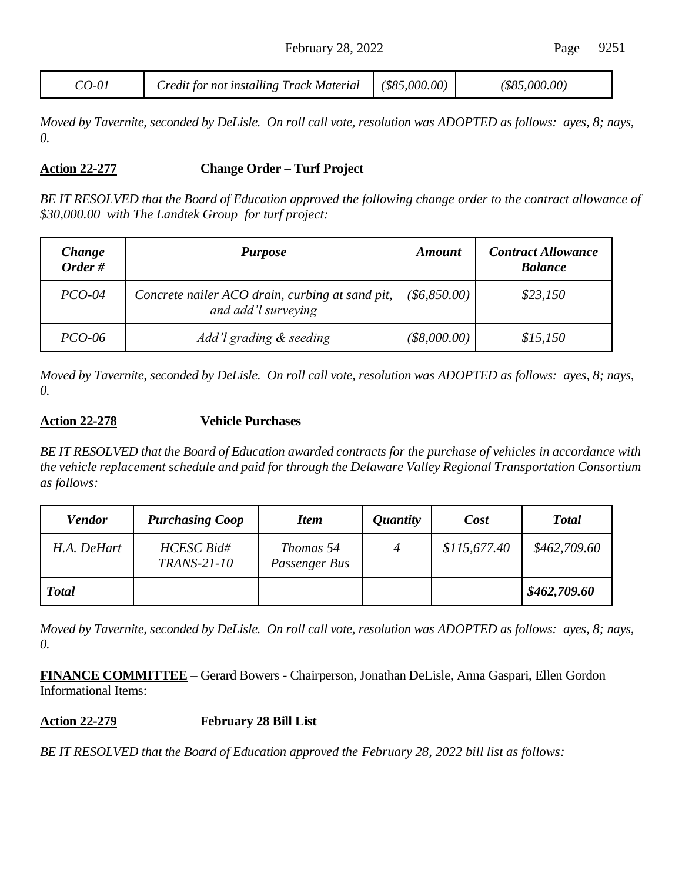| 9251 |
|------|
|      |

| $CO-01$ | Credit for not installing Track Material | $(*85,000.00)$ | $(\$85,000.00)$ |
|---------|------------------------------------------|----------------|-----------------|
|---------|------------------------------------------|----------------|-----------------|

*Moved by Tavernite, seconded by DeLisle. On roll call vote, resolution was ADOPTED as follows: ayes, 8; nays, 0.*

## **Action 22-277 Change Order – Turf Project**

*BE IT RESOLVED that the Board of Education approved the following change order to the contract allowance of \$30,000.00 with The Landtek Group for turf project:*

| Change<br>Order $#$ | <b>Purpose</b>                                                         | <b>Amount</b>  | <b>Contract Allowance</b><br><b>Balance</b> |
|---------------------|------------------------------------------------------------------------|----------------|---------------------------------------------|
| $PCO-04$            | Concrete nailer ACO drain, curbing at sand pit,<br>and add'l surveying | $(\$6,850.00)$ | \$23,150                                    |
| <i>PCO-06</i>       | Add'l grading & seeding                                                | (\$8,000.00)   | \$15,150                                    |

*Moved by Tavernite, seconded by DeLisle. On roll call vote, resolution was ADOPTED as follows: ayes, 8; nays, 0.*

#### **Action 22-278 Vehicle Purchases**

*BE IT RESOLVED that the Board of Education awarded contracts for the purchase of vehicles in accordance with the vehicle replacement schedule and paid for through the Delaware Valley Regional Transportation Consortium as follows:*

| <b>Vendor</b> | <b>Purchasing Coop</b>                  | <b>Item</b>                | <i><b>Quantity</b></i> | Cost         | <b>Total</b> |
|---------------|-----------------------------------------|----------------------------|------------------------|--------------|--------------|
| H.A. DeHart   | <b>HCESC Bid#</b><br><b>TRANS-21-10</b> | Thomas 54<br>Passenger Bus | 4                      | \$115,677.40 | \$462,709.60 |
| <b>Total</b>  |                                         |                            |                        |              | \$462,709.60 |

*Moved by Tavernite, seconded by DeLisle. On roll call vote, resolution was ADOPTED as follows: ayes, 8; nays, 0.*

**FINANCE COMMITTEE** – Gerard Bowers - Chairperson, Jonathan DeLisle, Anna Gaspari, Ellen Gordon Informational Items:

#### **Action 22-279 February 28 Bill List**

*BE IT RESOLVED that the Board of Education approved the February 28, 2022 bill list as follows:*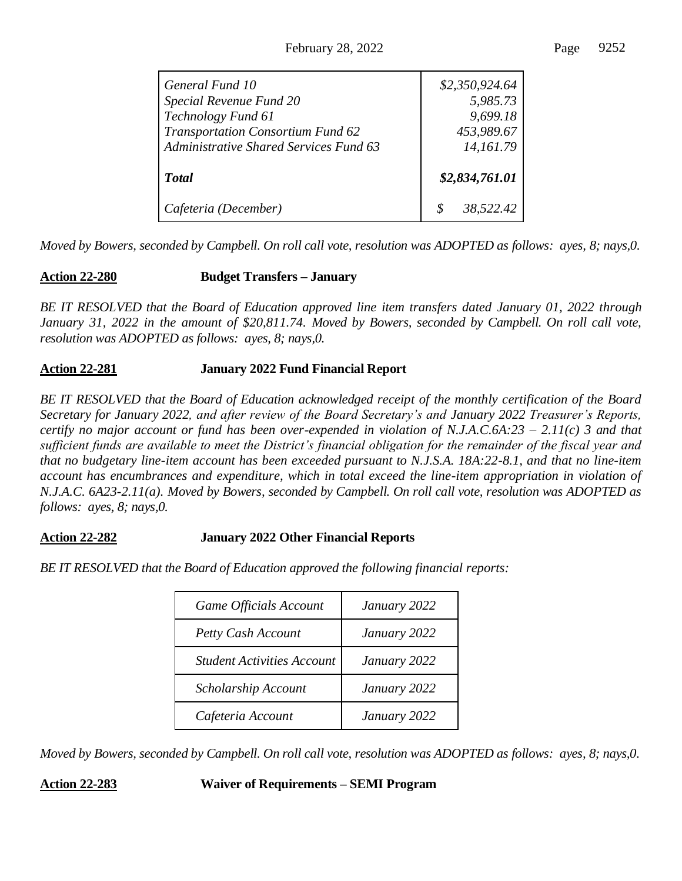| Page | 9252 |
|------|------|
|      |      |

| General Fund 10                               |    | \$2,350,924.64 |
|-----------------------------------------------|----|----------------|
| Special Revenue Fund 20                       |    | 5,985.73       |
| Technology Fund 61                            |    | 9,699.18       |
| <b>Transportation Consortium Fund 62</b>      |    | 453,989.67     |
| <b>Administrative Shared Services Fund 63</b> |    | 14,161.79      |
| <b>Total</b>                                  |    | \$2,834,761.01 |
| Cafeteria (December)                          | S. | 38,522.42      |

*Moved by Bowers, seconded by Campbell. On roll call vote, resolution was ADOPTED as follows: ayes, 8; nays,0.*

#### **Action 22-280 Budget Transfers – January**

*BE IT RESOLVED that the Board of Education approved line item transfers dated January 01, 2022 through January 31, 2022 in the amount of \$20,811.74. Moved by Bowers, seconded by Campbell. On roll call vote, resolution was ADOPTED as follows: ayes, 8; nays,0.*

#### **Action 22-281 January 2022 Fund Financial Report**

*BE IT RESOLVED that the Board of Education acknowledged receipt of the monthly certification of the Board Secretary for January 2022, and after review of the Board Secretary's and January 2022 Treasurer's Reports, certify no major account or fund has been over-expended in violation of N.J.A.C.6A:23 – 2.11(c) 3 and that sufficient funds are available to meet the District's financial obligation for the remainder of the fiscal year and that no budgetary line-item account has been exceeded pursuant to N.J.S.A. 18A:22-8.1, and that no line-item account has encumbrances and expenditure, which in total exceed the line-item appropriation in violation of N.J.A.C. 6A23-2.11(a). Moved by Bowers, seconded by Campbell. On roll call vote, resolution was ADOPTED as follows: ayes, 8; nays,0.*

#### **Action 22-282 January 2022 Other Financial Reports**

*BE IT RESOLVED that the Board of Education approved the following financial reports:*

| <b>Game Officials Account</b>     | January 2022 |
|-----------------------------------|--------------|
| Petty Cash Account                | January 2022 |
| <b>Student Activities Account</b> | January 2022 |
| Scholarship Account               | January 2022 |
| Cafeteria Account                 | January 2022 |

*Moved by Bowers, seconded by Campbell. On roll call vote, resolution was ADOPTED as follows: ayes, 8; nays,0.*

**Action 22-283 Waiver of Requirements – SEMI Program**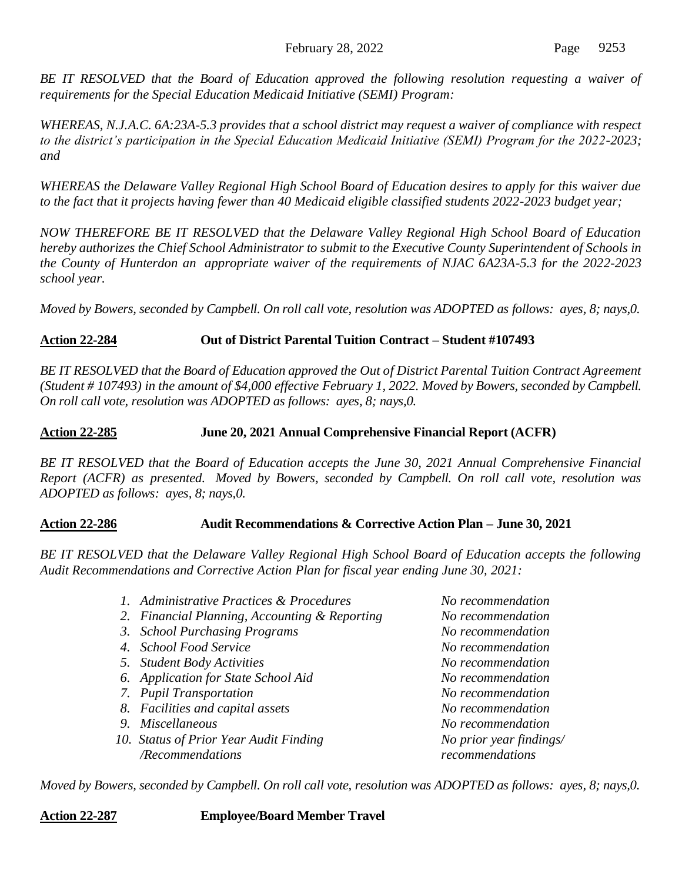*BE IT RESOLVED that the Board of Education approved the following resolution requesting a waiver of requirements for the Special Education Medicaid Initiative (SEMI) Program:*

*WHEREAS, N.J.A.C. 6A:23A-5.3 provides that a school district may request a waiver of compliance with respect to the district's participation in the Special Education Medicaid Initiative (SEMI) Program for the 2022-2023; and*

*WHEREAS the Delaware Valley Regional High School Board of Education desires to apply for this waiver due to the fact that it projects having fewer than 40 Medicaid eligible classified students 2022-2023 budget year;*

*NOW THEREFORE BE IT RESOLVED that the Delaware Valley Regional High School Board of Education hereby authorizes the Chief School Administrator to submit to the Executive County Superintendent of Schools in the County of Hunterdon an appropriate waiver of the requirements of NJAC 6A23A-5.3 for the 2022-2023 school year.*

*Moved by Bowers, seconded by Campbell. On roll call vote, resolution was ADOPTED as follows: ayes, 8; nays,0.*

# **Action 22-284 Out of District Parental Tuition Contract – Student #107493**

*BE IT RESOLVED that the Board of Education approved the Out of District Parental Tuition Contract Agreement (Student # 107493) in the amount of \$4,000 effective February 1, 2022. Moved by Bowers, seconded by Campbell. On roll call vote, resolution was ADOPTED as follows: ayes, 8; nays,0.*

### **Action 22-285 June 20, 2021 Annual Comprehensive Financial Report (ACFR)**

*BE IT RESOLVED that the Board of Education accepts the June 30, 2021 Annual Comprehensive Financial Report (ACFR) as presented. Moved by Bowers, seconded by Campbell. On roll call vote, resolution was ADOPTED as follows: ayes, 8; nays,0.*

#### **Action 22-286 Audit Recommendations & Corrective Action Plan – June 30, 2021**

*BE IT RESOLVED that the Delaware Valley Regional High School Board of Education accepts the following Audit Recommendations and Corrective Action Plan for fiscal year ending June 30, 2021:*

|                         | 1. Administrative Practices & Procedures      | No recommendation       |
|-------------------------|-----------------------------------------------|-------------------------|
|                         | 2. Financial Planning, Accounting & Reporting | No recommendation       |
|                         | 3. School Purchasing Programs                 | No recommendation       |
| 4. School Food Service  |                                               | No recommendation       |
|                         | 5. Student Body Activities                    | No recommendation       |
|                         | 6. Application for State School Aid           | No recommendation       |
| 7. Pupil Transportation |                                               | No recommendation       |
|                         | 8. Facilities and capital assets              | No recommendation       |
| Miscellaneous<br>9.     |                                               | No recommendation       |
|                         | 10. Status of Prior Year Audit Finding        | No prior year findings/ |
|                         | /Recommendations                              | recommendations         |

*Moved by Bowers, seconded by Campbell. On roll call vote, resolution was ADOPTED as follows: ayes, 8; nays,0.*

**Action 22-287 Employee/Board Member Travel**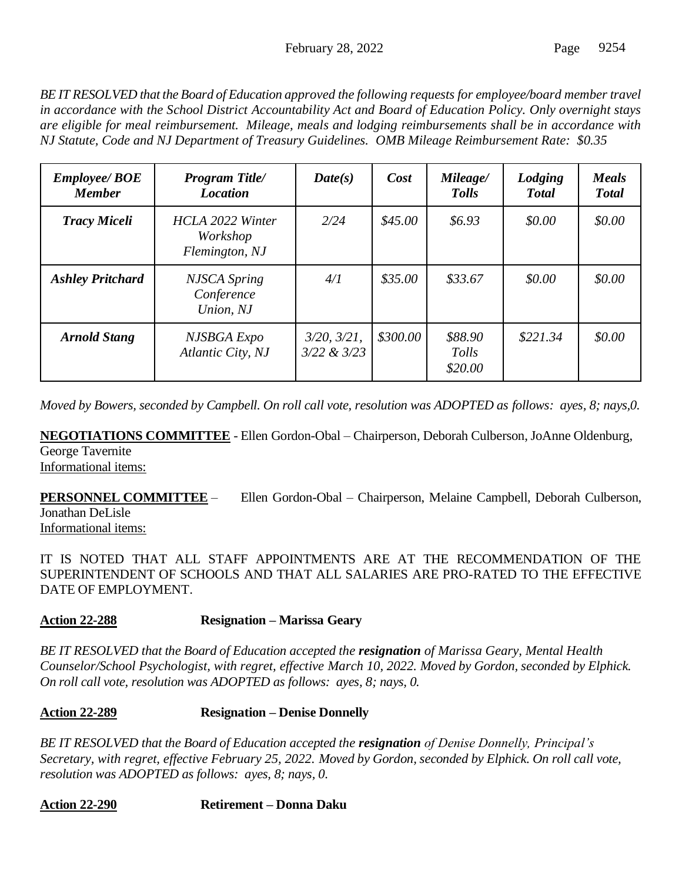*BE IT RESOLVED that the Board of Education approved the following requests for employee/board member travel in accordance with the School District Accountability Act and Board of Education Policy. Only overnight stays are eligible for meal reimbursement. Mileage, meals and lodging reimbursements shall be in accordance with NJ Statute, Code and NJ Department of Treasury Guidelines. OMB Mileage Reimbursement Rate: \$0.35*

| <b>Employee/ BOE</b><br><b>Member</b> | <b>Program Title/</b><br><b>Location</b>       | Date(s)                        | Cost     | Mileage/<br><b>Tolls</b>    | Lodging<br><b>Total</b> | <b>Meals</b><br><b>Total</b> |
|---------------------------------------|------------------------------------------------|--------------------------------|----------|-----------------------------|-------------------------|------------------------------|
| <b>Tracy Miceli</b>                   | HCLA 2022 Winter<br>Workshop<br>Flemington, NJ | 2/24                           | \$45.00  | \$6.93\$                    | \$0.00                  | \$0.00                       |
| <b>Ashley Pritchard</b>               | NJSCA Spring<br>Conference<br>Union, NJ        | 4/1                            | \$35.00  | \$33.67                     | \$0.00                  | \$0.00                       |
| <b>Arnold Stang</b>                   | NJSBGA Expo<br>Atlantic City, NJ               | 3/20, 3/21,<br>$3/22$ & $3/23$ | \$300.00 | \$88.90<br>Tolls<br>\$20.00 | \$221.34                | \$0.00                       |

*Moved by Bowers, seconded by Campbell. On roll call vote, resolution was ADOPTED as follows: ayes, 8; nays,0.*

**NEGOTIATIONS COMMITTEE** - Ellen Gordon-Obal – Chairperson, Deborah Culberson, JoAnne Oldenburg, George Tavernite

Informational items:

**PERSONNEL COMMITTEE** – Ellen Gordon-Obal – Chairperson, Melaine Campbell, Deborah Culberson, Jonathan DeLisle Informational items:

IT IS NOTED THAT ALL STAFF APPOINTMENTS ARE AT THE RECOMMENDATION OF THE SUPERINTENDENT OF SCHOOLS AND THAT ALL SALARIES ARE PRO-RATED TO THE EFFECTIVE DATE OF EMPLOYMENT.

# **Action 22-288 Resignation – Marissa Geary**

*BE IT RESOLVED that the Board of Education accepted the resignation of Marissa Geary, Mental Health Counselor/School Psychologist, with regret, effective March 10, 2022. Moved by Gordon, seconded by Elphick. On roll call vote, resolution was ADOPTED as follows: ayes, 8; nays, 0.*

# **Action 22-289 Resignation – Denise Donnelly**

*BE IT RESOLVED that the Board of Education accepted the resignation of Denise Donnelly, Principal's Secretary, with regret, effective February 25, 2022. Moved by Gordon, seconded by Elphick. On roll call vote, resolution was ADOPTED as follows: ayes, 8; nays, 0.*

**Action 22-290 Retirement – Donna Daku**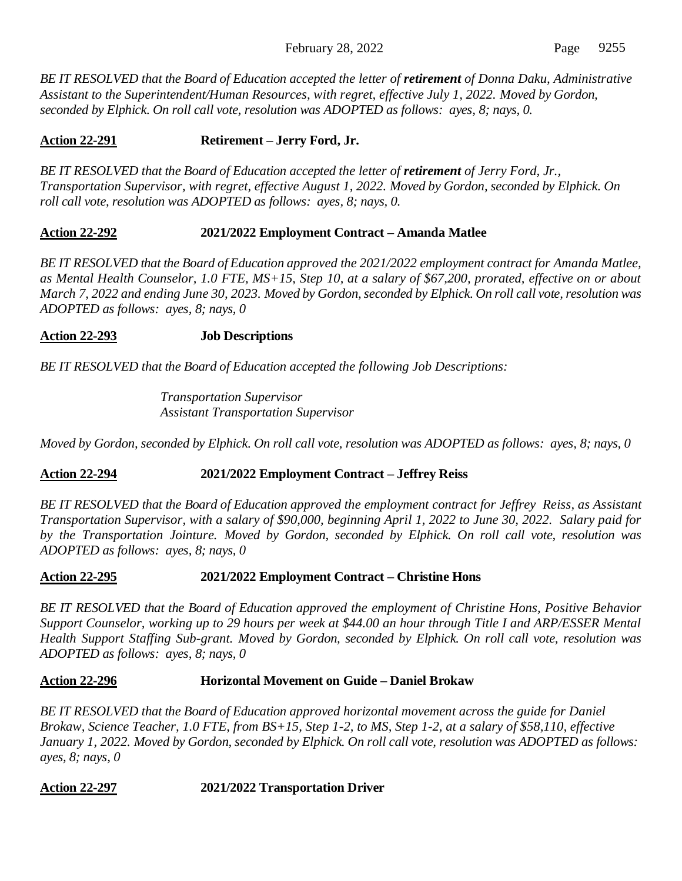*BE IT RESOLVED that the Board of Education accepted the letter of retirement of Donna Daku, Administrative Assistant to the Superintendent/Human Resources, with regret, effective July 1, 2022. Moved by Gordon, seconded by Elphick. On roll call vote, resolution was ADOPTED as follows: ayes, 8; nays, 0.*

# **Action 22-291 Retirement – Jerry Ford, Jr.**

*BE IT RESOLVED that the Board of Education accepted the letter of retirement of Jerry Ford, Jr., Transportation Supervisor, with regret, effective August 1, 2022. Moved by Gordon, seconded by Elphick. On roll call vote, resolution was ADOPTED as follows: ayes, 8; nays, 0.*

### **Action 22-292 2021/2022 Employment Contract – Amanda Matlee**

*BE IT RESOLVED that the Board of Education approved the 2021/2022 employment contract for Amanda Matlee, as Mental Health Counselor, 1.0 FTE, MS+15, Step 10, at a salary of \$67,200, prorated, effective on or about March 7, 2022 and ending June 30, 2023. Moved by Gordon, seconded by Elphick. On roll call vote, resolution was ADOPTED as follows: ayes, 8; nays, 0*

### **Action 22-293 Job Descriptions**

*BE IT RESOLVED that the Board of Education accepted the following Job Descriptions:*

*Transportation Supervisor Assistant Transportation Supervisor*

*Moved by Gordon, seconded by Elphick. On roll call vote, resolution was ADOPTED as follows: ayes, 8; nays, 0*

# **Action 22-294 2021/2022 Employment Contract – Jeffrey Reiss**

*BE IT RESOLVED that the Board of Education approved the employment contract for Jeffrey Reiss, as Assistant Transportation Supervisor, with a salary of \$90,000, beginning April 1, 2022 to June 30, 2022. Salary paid for by the Transportation Jointure. Moved by Gordon, seconded by Elphick. On roll call vote, resolution was ADOPTED as follows: ayes, 8; nays, 0*

#### **Action 22-295 2021/2022 Employment Contract – Christine Hons**

*BE IT RESOLVED that the Board of Education approved the employment of Christine Hons, Positive Behavior Support Counselor, working up to 29 hours per week at \$44.00 an hour through Title I and ARP/ESSER Mental Health Support Staffing Sub-grant. Moved by Gordon, seconded by Elphick. On roll call vote, resolution was ADOPTED as follows: ayes, 8; nays, 0*

#### **Action 22-296 Horizontal Movement on Guide – Daniel Brokaw**

*BE IT RESOLVED that the Board of Education approved horizontal movement across the guide for Daniel Brokaw, Science Teacher, 1.0 FTE, from BS+15, Step 1-2, to MS, Step 1-2, at a salary of \$58,110, effective January 1, 2022. Moved by Gordon, seconded by Elphick. On roll call vote, resolution was ADOPTED as follows: ayes, 8; nays, 0*

**Action 22-297 2021/2022 Transportation Driver**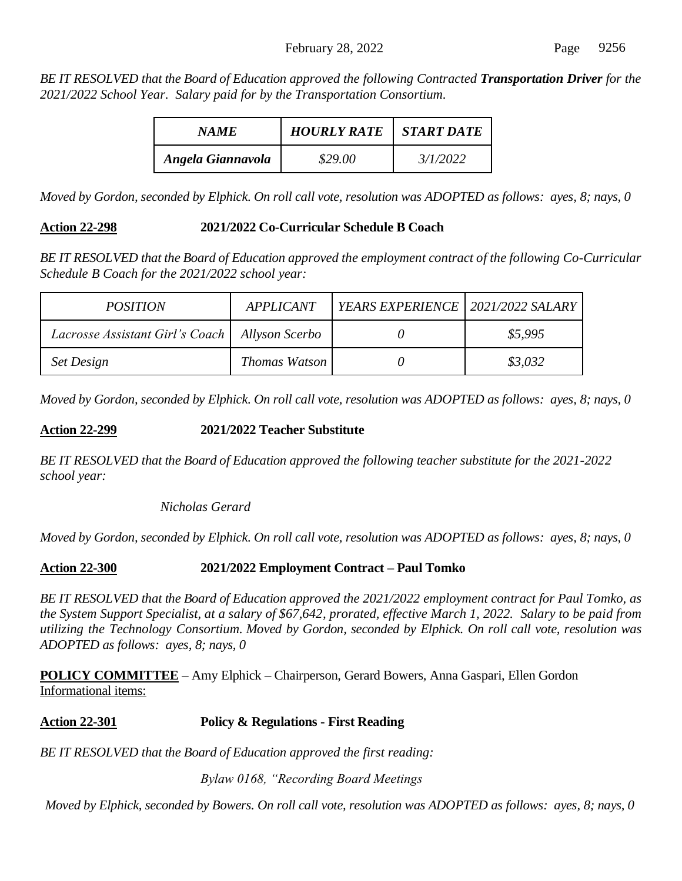*BE IT RESOLVED that the Board of Education approved the following Contracted Transportation Driver for the 2021/2022 School Year. Salary paid for by the Transportation Consortium.*

| <b>HOURLY RATE</b><br>NAME. |         | START DATE |
|-----------------------------|---------|------------|
| Angela Giannavola           | \$29.00 | 3/1/2022   |

*Moved by Gordon, seconded by Elphick. On roll call vote, resolution was ADOPTED as follows: ayes, 8; nays, 0*

#### **Action 22-298 2021/2022 Co-Curricular Schedule B Coach**

*BE IT RESOLVED that the Board of Education approved the employment contract of the following Co-Curricular Schedule B Coach for the 2021/2022 school year:*

| <i>POSITION</i>                 | <i><b>APPLICANT</b></i> | YEARS EXPERIENCE 2021/2022 SALARY |         |
|---------------------------------|-------------------------|-----------------------------------|---------|
| Lacrosse Assistant Girl's Coach | Allyson Scerbo          |                                   | \$5,995 |
| <b>Set Design</b>               | Thomas Watson           |                                   | \$3,032 |

*Moved by Gordon, seconded by Elphick. On roll call vote, resolution was ADOPTED as follows: ayes, 8; nays, 0*

**Action 22-299 2021/2022 Teacher Substitute**

*BE IT RESOLVED that the Board of Education approved the following teacher substitute for the 2021-2022 school year:*

*Nicholas Gerard*

*Moved by Gordon, seconded by Elphick. On roll call vote, resolution was ADOPTED as follows: ayes, 8; nays, 0*

**Action 22-300 2021/2022 Employment Contract – Paul Tomko**

*BE IT RESOLVED that the Board of Education approved the 2021/2022 employment contract for Paul Tomko, as the System Support Specialist, at a salary of \$67,642, prorated, effective March 1, 2022. Salary to be paid from utilizing the Technology Consortium. Moved by Gordon, seconded by Elphick. On roll call vote, resolution was ADOPTED as follows: ayes, 8; nays, 0*

**POLICY COMMITTEE** – Amy Elphick – Chairperson, Gerard Bowers, Anna Gaspari, Ellen Gordon Informational items:

#### **Action 22-301 Policy & Regulations - First Reading**

*BE IT RESOLVED that the Board of Education approved the first reading:*

*Bylaw 0168, "Recording Board Meetings*

*Moved by Elphick, seconded by Bowers. On roll call vote, resolution was ADOPTED as follows: ayes, 8; nays, 0*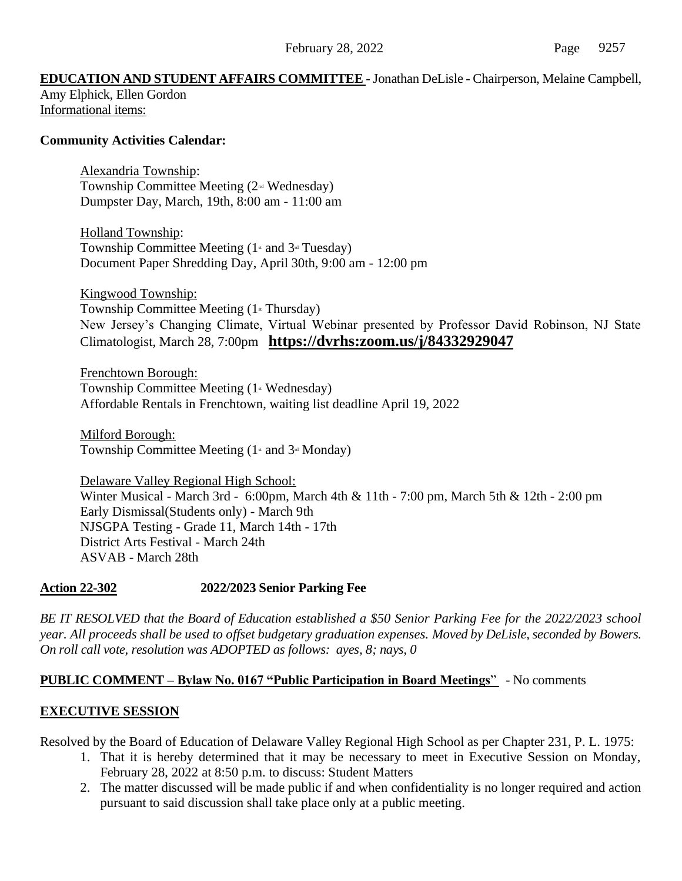# **EDUCATION AND STUDENT AFFAIRS COMMITTEE** -Jonathan DeLisle - Chairperson, Melaine Campbell,

Amy Elphick, Ellen Gordon Informational items:

### **Community Activities Calendar:**

Alexandria Township: Township Committee Meeting  $(2<sub>nd</sub> Wednesday)$ Dumpster Day, March, 19th, 8:00 am - 11:00 am

Holland Township: Township Committee Meeting  $(1 \times 1)$  and  $3 \times 1$  Tuesday) Document Paper Shredding Day, April 30th, 9:00 am - 12:00 pm

Kingwood Township: Township Committee Meeting  $(1 \times \text{Thursday})$ New Jersey's Changing Climate, Virtual Webinar presented by Professor David Robinson, NJ State Climatologist, March 28, 7:00pm **https://dvrhs:zoom.us/j/84332929047**

Frenchtown Borough: Township Committee Meeting  $(1 \times$  Wednesday) Affordable Rentals in Frenchtown, waiting list deadline April 19, 2022

Milford Borough: Township Committee Meeting  $(1 \times 1)$  and  $3 \times 1$  Monday)

Delaware Valley Regional High School: Winter Musical - March 3rd - 6:00pm, March 4th & 11th - 7:00 pm, March 5th & 12th - 2:00 pm Early Dismissal(Students only) - March 9th NJSGPA Testing - Grade 11, March 14th - 17th District Arts Festival - March 24th ASVAB - March 28th

# **Action 22-302 2022/2023 Senior Parking Fee**

*BE IT RESOLVED that the Board of Education established a \$50 Senior Parking Fee for the 2022/2023 school year. All proceeds shall be used to offset budgetary graduation expenses. Moved by DeLisle, seconded by Bowers. On roll call vote, resolution was ADOPTED as follows: ayes, 8; nays, 0*

# **PUBLIC COMMENT – Bylaw No. 0167 "Public Participation in Board Meetings**" - No comments

# **EXECUTIVE SESSION**

Resolved by the Board of Education of Delaware Valley Regional High School as per Chapter 231, P. L. 1975:

- 1. That it is hereby determined that it may be necessary to meet in Executive Session on Monday, February 28, 2022 at 8:50 p.m. to discuss: Student Matters
- 2. The matter discussed will be made public if and when confidentiality is no longer required and action pursuant to said discussion shall take place only at a public meeting.